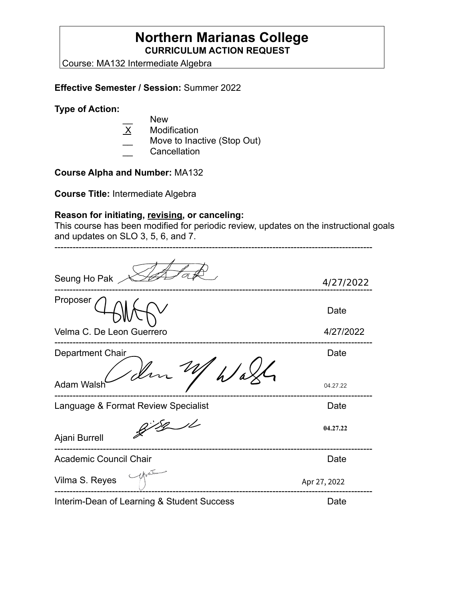## **Northern Marianas College CURRICULUM ACTION REQUEST**

Course: MA132 Intermediate Algebra

#### **Effective Semester / Session:** Summer 2022

#### **Type of Action:**

- $\frac{1}{\text{X}}$  New
- **Modification**
- Move to Inactive (Stop Out)
- **Cancellation**

## **Course Alpha and Number:** MA132

**Course Title:** Intermediate Algebra

### **Reason for initiating, revising, or canceling:**

This course has been modified for periodic review, updates on the instructional goals and updates on SLO 3, 5, 6, and 7.

| Seung Ho Pak                               | 4/27/2022    |
|--------------------------------------------|--------------|
| Proposer                                   | Date         |
| Velma C. De Leon Guerrero                  | 4/27/2022    |
| Department Chair                           | Date         |
| <b>Adam Walsh</b>                          | 04.27.22     |
| Language & Format Review Specialist        | Date         |
| Ajani Burrell                              | 04.27.22     |
| Academic Council Chair                     | Date         |
| Vilma S. Reyes                             | Apr 27, 2022 |
| Interim-Dean of Learning & Student Success | Date         |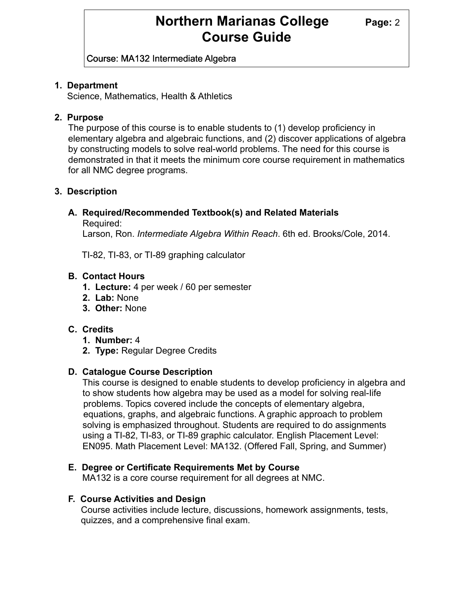## **Northern Marianas College Page: 2 Course Guide**

Course: MA132 Intermediate Algebra

### **1. Department**

Science, Mathematics, Health & Athletics

### **2. Purpose**

The purpose of this course is to enable students to (1) develop proficiency in elementary algebra and algebraic functions, and (2) discover applications of algebra by constructing models to solve real-world problems. The need for this course is demonstrated in that it meets the minimum core course requirement in mathematics for all NMC degree programs.

### **3. Description**

## **A. Required/Recommended Textbook(s) and Related Materials**

Required:

Larson, Ron. *Intermediate Algebra Within Reach*. 6th ed. Brooks/Cole, 2014.

TI-82, TI-83, or TI-89 graphing calculator

### **B. Contact Hours**

- **1. Lecture:** 4 per week / 60 per semester
- **2. Lab:** None
- **3. Other:** None

## **C. Credits**

- **1. Number:** 4
- **2. Type:** Regular Degree Credits

## **D. Catalogue Course Description**

 This course is designed to enable students to develop proficiency in algebra and to show students how algebra may be used as a model for solving real-Iife problems. Topics covered include the concepts of elementary algebra, equations, graphs, and algebraic functions. A graphic approach to problem solving is emphasized throughout. Students are required to do assignments using a TI-82, TI-83, or TI-89 graphic calculator. English Placement Level: EN095. Math Placement Level: MA132. (Offered Fall, Spring, and Summer)

#### **E. Degree or Certificate Requirements Met by Course**

MA132 is a core course requirement for all degrees at NMC.

## **F. Course Activities and Design**

 Course activities include lecture, discussions, homework assignments, tests, quizzes, and a comprehensive final exam.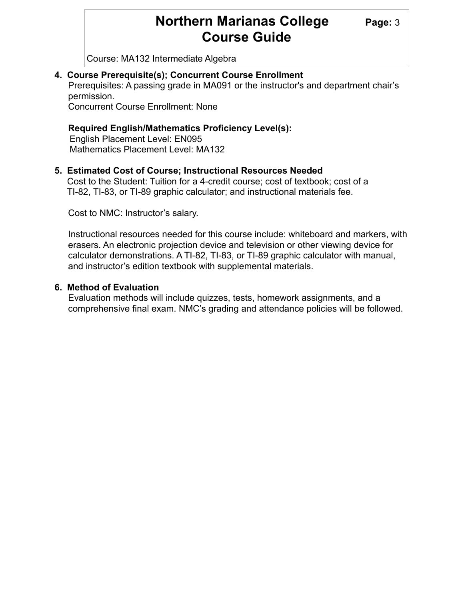## **Northern Marianas College** Page: 3 **Course Guide**

Course: MA132 Intermediate Algebra

#### **4. Course Prerequisite(s); Concurrent Course Enrollment**

Prerequisites: A passing grade in MA091 or the instructor's and department chair's permission.

Concurrent Course Enrollment: None

#### **Required English/Mathematics Proficiency Level(s):**

English Placement Level: EN095 Mathematics Placement Level: MA132

#### **5. Estimated Cost of Course; Instructional Resources Needed**

Cost to the Student: Tuition for a 4-credit course; cost of textbook; cost of a TI-82, TI-83, or TI-89 graphic calculator; and instructional materials fee.

Cost to NMC: Instructor's salary.

Instructional resources needed for this course include: whiteboard and markers, with erasers. An electronic projection device and television or other viewing device for calculator demonstrations. A TI-82, TI-83, or TI-89 graphic calculator with manual, and instructor's edition textbook with supplemental materials.

#### **6. Method of Evaluation**

Evaluation methods will include quizzes, tests, homework assignments, and a comprehensive final exam. NMC's grading and attendance policies will be followed.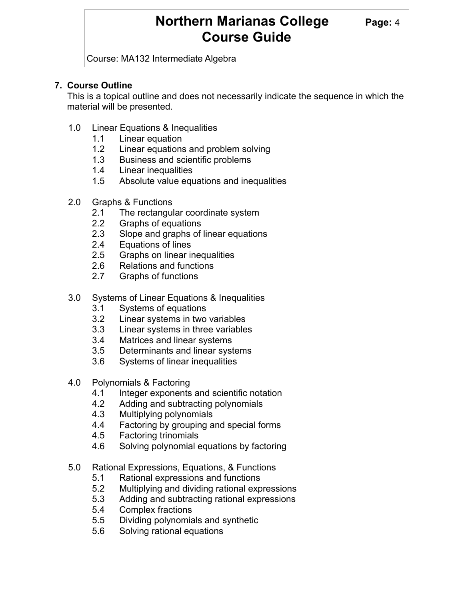## **Northern Marianas College Page: 4 Course Guide**

Course: MA132 Intermediate Algebra

## **7. Course Outline**

This is a topical outline and does not necessarily indicate the sequence in which the material will be presented.

- 1.0 Linear Equations & Inequalities
	- 1.1 Linear equation
	- 1.2 Linear equations and problem solving
	- 1.3 Business and scientific problems
	- 1.4 Linear inequalities
	- 1.5 Absolute value equations and inequalities
- 2.0 Graphs & Functions
	- 2.1 The rectangular coordinate system
	- 2.2 Graphs of equations
	- 2.3 Slope and graphs of linear equations
	- 2.4 Equations of lines
	- 2.5 Graphs on linear inequalities
	- 2.6 Relations and functions
	- 2.7 Graphs of functions
- 3.0 Systems of Linear Equations & Inequalities
	- 3.1 Systems of equations
	- 3.2 Linear systems in two variables
	- 3.3 Linear systems in three variables
	- 3.4 Matrices and linear systems
	- 3.5 Determinants and linear systems
	- 3.6 Systems of linear inequalities
- 4.0 Polynomials & Factoring
	- 4.1 Integer exponents and scientific notation
	- 4.2 Adding and subtracting polynomials
	- 4.3 Multiplying polynomials
	- 4.4 Factoring by grouping and special forms
	- 4.5 Factoring trinomials
	- 4.6 Solving polynomial equations by factoring
- 5.0 Rational Expressions, Equations, & Functions
	- 5.1 Rational expressions and functions
	- 5.2 Multiplying and dividing rational expressions
	- 5.3 Adding and subtracting rational expressions
	- 5.4 Complex fractions
	- 5.5 Dividing polynomials and synthetic
	- 5.6 Solving rational equations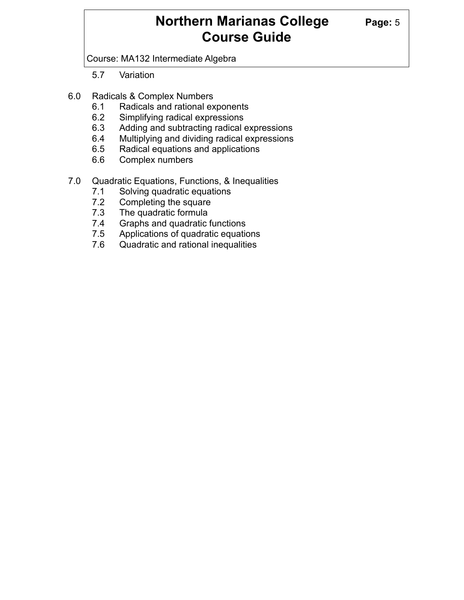## **Northern Marianas College Page: 5 Course Guide**

Course: MA132 Intermediate Algebra

- 5.7 Variation
- 6.0 Radicals & Complex Numbers
	- 6.1 Radicals and rational exponents
	- 6.2 Simplifying radical expressions
	- 6.3 Adding and subtracting radical expressions
	- 6.4 Multiplying and dividing radical expressions
	- 6.5 Radical equations and applications
	- 6.6 Complex numbers
- 7.0 Quadratic Equations, Functions, & Inequalities
	- 7.1 Solving quadratic equations
	- 7.2 Completing the square
	- 7.3 The quadratic formula
	- 7.4 Graphs and quadratic functions
	- 7.5 Applications of quadratic equations
	- 7.6 Quadratic and rational inequalities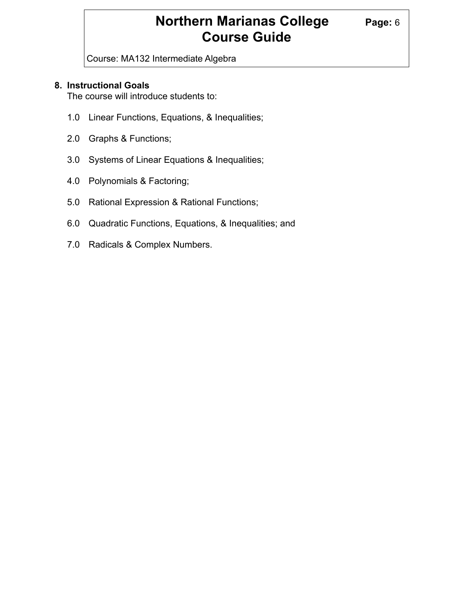## **Northern Marianas College Page: 6 Course Guide**

Course: MA132 Intermediate Algebra

### **8. Instructional Goals**

The course will introduce students to:

- 1.0 Linear Functions, Equations, & Inequalities;
- 2.0 Graphs & Functions;
- 3.0 Systems of Linear Equations & Inequalities;
- 4.0 Polynomials & Factoring;
- 5.0 Rational Expression & Rational Functions;
- 6.0 Quadratic Functions, Equations, & Inequalities; and
- 7.0 Radicals & Complex Numbers.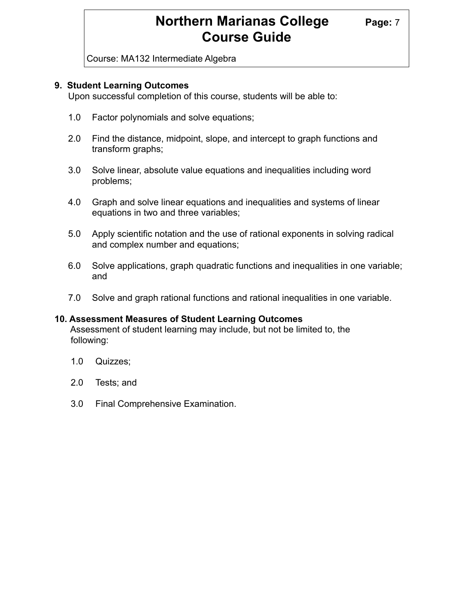## **Northern Marianas College Page: 7 Course Guide**

Course: MA132 Intermediate Algebra

#### **9. Student Learning Outcomes**

Upon successful completion of this course, students will be able to:

- 1.0 Factor polynomials and solve equations;
- 2.0 Find the distance, midpoint, slope, and intercept to graph functions and transform graphs;
- 3.0 Solve linear, absolute value equations and inequalities including word problems;
- 4.0 Graph and solve linear equations and inequalities and systems of linear equations in two and three variables;
- 5.0 Apply scientific notation and the use of rational exponents in solving radical and complex number and equations;
- 6.0 Solve applications, graph quadratic functions and inequalities in one variable; and
- 7.0 Solve and graph rational functions and rational inequalities in one variable.

#### **10. Assessment Measures of Student Learning Outcomes**

 Assessment of student learning may include, but not be limited to, the following:

- 1.0 Quizzes;
- 2.0 Tests; and
- 3.0 Final Comprehensive Examination.